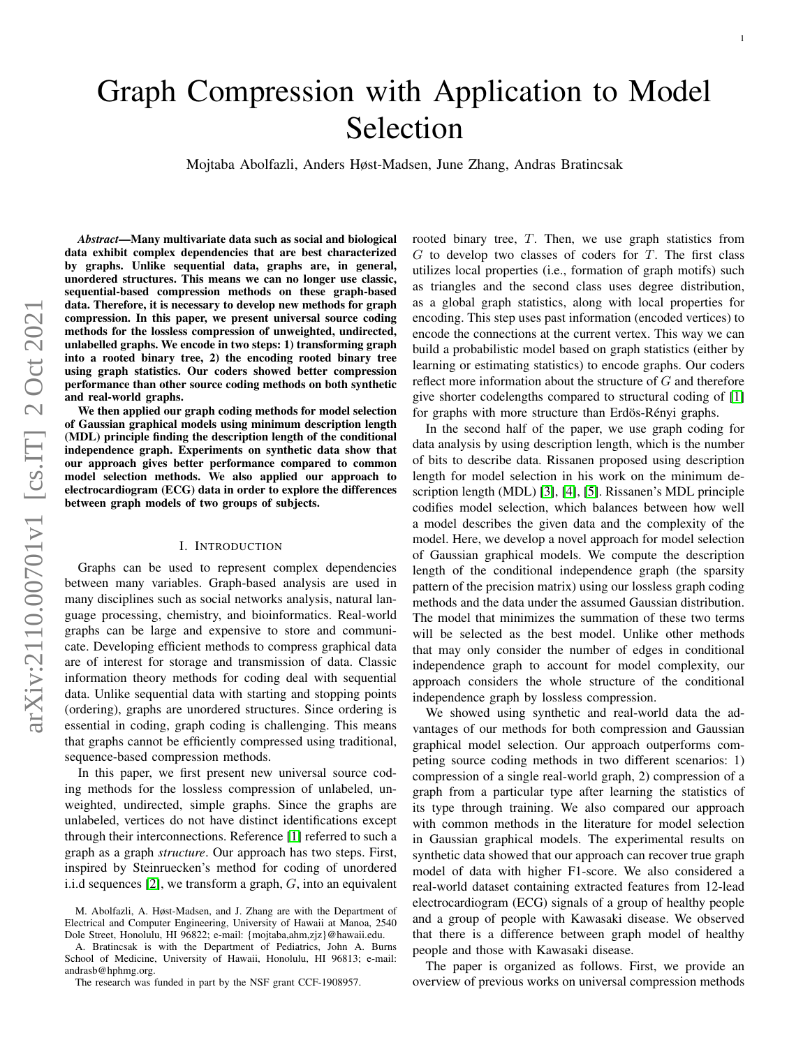# Graph Compression with Application to Model Selection

Mojtaba Abolfazli, Anders Høst-Madsen, June Zhang, Andras Bratincsak

*Abstract*—Many multivariate data such as social and biological data exhibit complex dependencies that are best characterized by graphs. Unlike sequential data, graphs are, in general, unordered structures. This means we can no longer use classic, sequential-based compression methods on these graph-based data. Therefore, it is necessary to develop new methods for graph compression. In this paper, we present universal source coding methods for the lossless compression of unweighted, undirected, unlabelled graphs. We encode in two steps: 1) transforming graph into a rooted binary tree, 2) the encoding rooted binary tree using graph statistics. Our coders showed better compression performance than other source coding methods on both synthetic and real-world graphs.

We then applied our graph coding methods for model selection of Gaussian graphical models using minimum description length (MDL) principle finding the description length of the conditional independence graph. Experiments on synthetic data show that our approach gives better performance compared to common model selection methods. We also applied our approach to electrocardiogram (ECG) data in order to explore the differences between graph models of two groups of subjects.

### I. INTRODUCTION

Graphs can be used to represent complex dependencies between many variables. Graph-based analysis are used in many disciplines such as social networks analysis, natural language processing, chemistry, and bioinformatics. Real-world graphs can be large and expensive to store and communicate. Developing efficient methods to compress graphical data are of interest for storage and transmission of data. Classic information theory methods for coding deal with sequential data. Unlike sequential data with starting and stopping points (ordering), graphs are unordered structures. Since ordering is essential in coding, graph coding is challenging. This means that graphs cannot be efficiently compressed using traditional, sequence-based compression methods.

In this paper, we first present new universal source coding methods for the lossless compression of unlabeled, unweighted, undirected, simple graphs. Since the graphs are unlabeled, vertices do not have distinct identifications except through their interconnections. Reference [\[1\]](#page-11-0) referred to such a graph as a graph *structure*. Our approach has two steps. First, inspired by Steinruecken's method for coding of unordered i.i.d sequences  $[2]$ , we transform a graph,  $G$ , into an equivalent rooted binary tree, T. Then, we use graph statistics from  $G$  to develop two classes of coders for  $T$ . The first class utilizes local properties (i.e., formation of graph motifs) such as triangles and the second class uses degree distribution, as a global graph statistics, along with local properties for encoding. This step uses past information (encoded vertices) to encode the connections at the current vertex. This way we can build a probabilistic model based on graph statistics (either by learning or estimating statistics) to encode graphs. Our coders reflect more information about the structure of G and therefore give shorter codelengths compared to structural coding of [\[1\]](#page-11-0) for graphs with more structure than Erdös-Rényi graphs.

In the second half of the paper, we use graph coding for data analysis by using description length, which is the number of bits to describe data. Rissanen proposed using description length for model selection in his work on the minimum description length (MDL) [\[3\]](#page-11-2), [\[4\]](#page-11-3), [\[5\]](#page-11-4). Rissanen's MDL principle codifies model selection, which balances between how well a model describes the given data and the complexity of the model. Here, we develop a novel approach for model selection of Gaussian graphical models. We compute the description length of the conditional independence graph (the sparsity pattern of the precision matrix) using our lossless graph coding methods and the data under the assumed Gaussian distribution. The model that minimizes the summation of these two terms will be selected as the best model. Unlike other methods that may only consider the number of edges in conditional independence graph to account for model complexity, our approach considers the whole structure of the conditional independence graph by lossless compression.

We showed using synthetic and real-world data the advantages of our methods for both compression and Gaussian graphical model selection. Our approach outperforms competing source coding methods in two different scenarios: 1) compression of a single real-world graph, 2) compression of a graph from a particular type after learning the statistics of its type through training. We also compared our approach with common methods in the literature for model selection in Gaussian graphical models. The experimental results on synthetic data showed that our approach can recover true graph model of data with higher F1-score. We also considered a real-world dataset containing extracted features from 12-lead electrocardiogram (ECG) signals of a group of healthy people and a group of people with Kawasaki disease. We observed that there is a difference between graph model of healthy people and those with Kawasaki disease.

The paper is organized as follows. First, we provide an overview of previous works on universal compression methods

M. Abolfazli, A. Høst-Madsen, and J. Zhang are with the Department of Electrical and Computer Engineering, University of Hawaii at Manoa, 2540 Dole Street, Honolulu, HI 96822; e-mail: {mojtaba,ahm,zjz}@hawaii.edu.

A. Bratincsak is with the Department of Pediatrics, John A. Burns School of Medicine, University of Hawaii, Honolulu, HI 96813; e-mail: andrasb@hphmg.org.

The research was funded in part by the NSF grant CCF-1908957.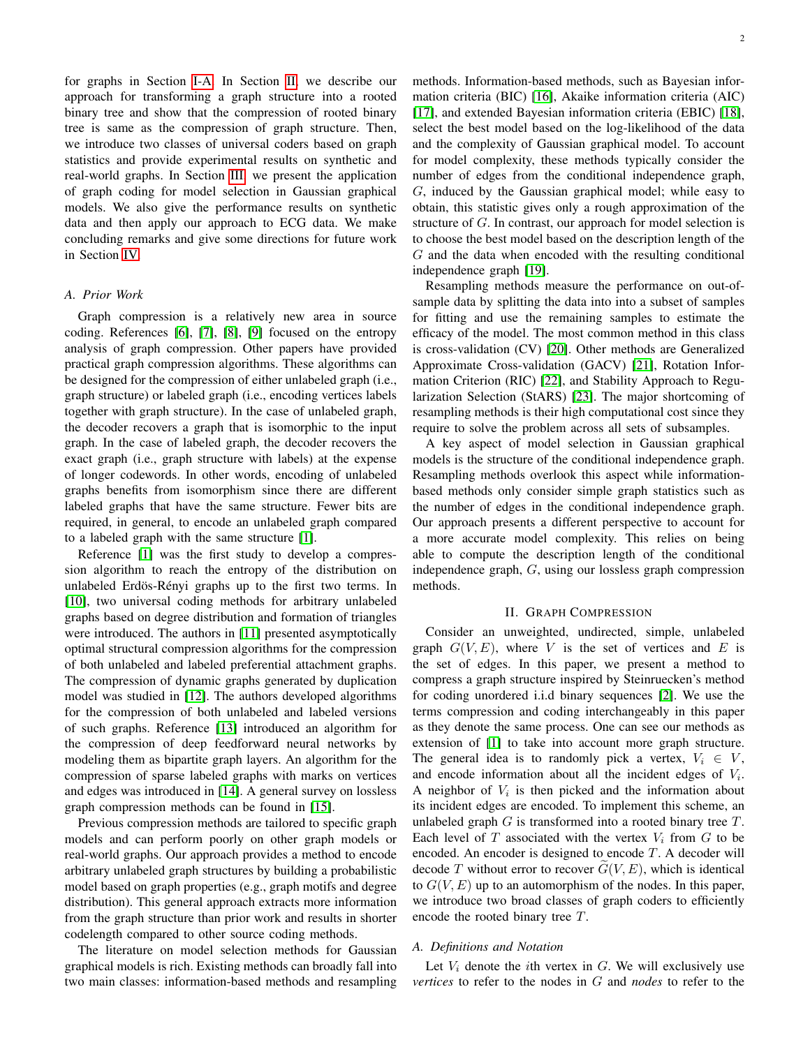for graphs in Section [I-A.](#page-1-0) In Section [II,](#page-1-1) we describe our approach for transforming a graph structure into a rooted binary tree and show that the compression of rooted binary tree is same as the compression of graph structure. Then, we introduce two classes of universal coders based on graph statistics and provide experimental results on synthetic and real-world graphs. In Section [III,](#page-7-0) we present the application of graph coding for model selection in Gaussian graphical models. We also give the performance results on synthetic data and then apply our approach to ECG data. We make concluding remarks and give some directions for future work in Section [IV.](#page-10-0)

#### <span id="page-1-0"></span>*A. Prior Work*

Graph compression is a relatively new area in source coding. References [\[6\]](#page-12-0), [\[7\]](#page-12-1), [\[8\]](#page-12-2), [\[9\]](#page-12-3) focused on the entropy analysis of graph compression. Other papers have provided practical graph compression algorithms. These algorithms can be designed for the compression of either unlabeled graph (i.e., graph structure) or labeled graph (i.e., encoding vertices labels together with graph structure). In the case of unlabeled graph, the decoder recovers a graph that is isomorphic to the input graph. In the case of labeled graph, the decoder recovers the exact graph (i.e., graph structure with labels) at the expense of longer codewords. In other words, encoding of unlabeled graphs benefits from isomorphism since there are different labeled graphs that have the same structure. Fewer bits are required, in general, to encode an unlabeled graph compared to a labeled graph with the same structure [\[1\]](#page-11-0).

Reference [\[1\]](#page-11-0) was the first study to develop a compression algorithm to reach the entropy of the distribution on unlabeled Erdös-Rényi graphs up to the first two terms. In [\[10\]](#page-12-4), two universal coding methods for arbitrary unlabeled graphs based on degree distribution and formation of triangles were introduced. The authors in [\[11\]](#page-12-5) presented asymptotically optimal structural compression algorithms for the compression of both unlabeled and labeled preferential attachment graphs. The compression of dynamic graphs generated by duplication model was studied in [\[12\]](#page-12-6). The authors developed algorithms for the compression of both unlabeled and labeled versions of such graphs. Reference [\[13\]](#page-12-7) introduced an algorithm for the compression of deep feedforward neural networks by modeling them as bipartite graph layers. An algorithm for the compression of sparse labeled graphs with marks on vertices and edges was introduced in [\[14\]](#page-12-8). A general survey on lossless graph compression methods can be found in [\[15\]](#page-12-9).

Previous compression methods are tailored to specific graph models and can perform poorly on other graph models or real-world graphs. Our approach provides a method to encode arbitrary unlabeled graph structures by building a probabilistic model based on graph properties (e.g., graph motifs and degree distribution). This general approach extracts more information from the graph structure than prior work and results in shorter codelength compared to other source coding methods.

The literature on model selection methods for Gaussian graphical models is rich. Existing methods can broadly fall into two main classes: information-based methods and resampling methods. Information-based methods, such as Bayesian information criteria (BIC) [\[16\]](#page-12-10), Akaike information criteria (AIC) [\[17\]](#page-12-11), and extended Bayesian information criteria (EBIC) [\[18\]](#page-12-12), select the best model based on the log-likelihood of the data and the complexity of Gaussian graphical model. To account for model complexity, these methods typically consider the number of edges from the conditional independence graph, G, induced by the Gaussian graphical model; while easy to obtain, this statistic gives only a rough approximation of the structure of G. In contrast, our approach for model selection is to choose the best model based on the description length of the G and the data when encoded with the resulting conditional independence graph [\[19\]](#page-12-13).

Resampling methods measure the performance on out-ofsample data by splitting the data into into a subset of samples for fitting and use the remaining samples to estimate the efficacy of the model. The most common method in this class is cross-validation (CV) [\[20\]](#page-12-14). Other methods are Generalized Approximate Cross-validation (GACV) [\[21\]](#page-12-15), Rotation Information Criterion (RIC) [\[22\]](#page-12-16), and Stability Approach to Regularization Selection (StARS) [\[23\]](#page-12-17). The major shortcoming of resampling methods is their high computational cost since they require to solve the problem across all sets of subsamples.

A key aspect of model selection in Gaussian graphical models is the structure of the conditional independence graph. Resampling methods overlook this aspect while informationbased methods only consider simple graph statistics such as the number of edges in the conditional independence graph. Our approach presents a different perspective to account for a more accurate model complexity. This relies on being able to compute the description length of the conditional independence graph, G, using our lossless graph compression methods.

## II. GRAPH COMPRESSION

<span id="page-1-1"></span>Consider an unweighted, undirected, simple, unlabeled graph  $G(V, E)$ , where V is the set of vertices and E is the set of edges. In this paper, we present a method to compress a graph structure inspired by Steinruecken's method for coding unordered i.i.d binary sequences [\[2\]](#page-11-1). We use the terms compression and coding interchangeably in this paper as they denote the same process. One can see our methods as extension of [\[1\]](#page-11-0) to take into account more graph structure. The general idea is to randomly pick a vertex,  $V_i \in V$ , and encode information about all the incident edges of  $V_i$ . A neighbor of  $V_i$  is then picked and the information about its incident edges are encoded. To implement this scheme, an unlabeled graph  $G$  is transformed into a rooted binary tree  $T$ . Each level of  $T$  associated with the vertex  $V_i$  from  $G$  to be encoded. An encoder is designed to encode  $T$ . A decoder will decode T without error to recover  $G(V, E)$ , which is identical to  $G(V, E)$  up to an automorphism of the nodes. In this paper, we introduce two broad classes of graph coders to efficiently encode the rooted binary tree T.

# *A. Definitions and Notation*

Let  $V_i$  denote the *i*th vertex in  $G$ . We will exclusively use *vertices* to refer to the nodes in G and *nodes* to refer to the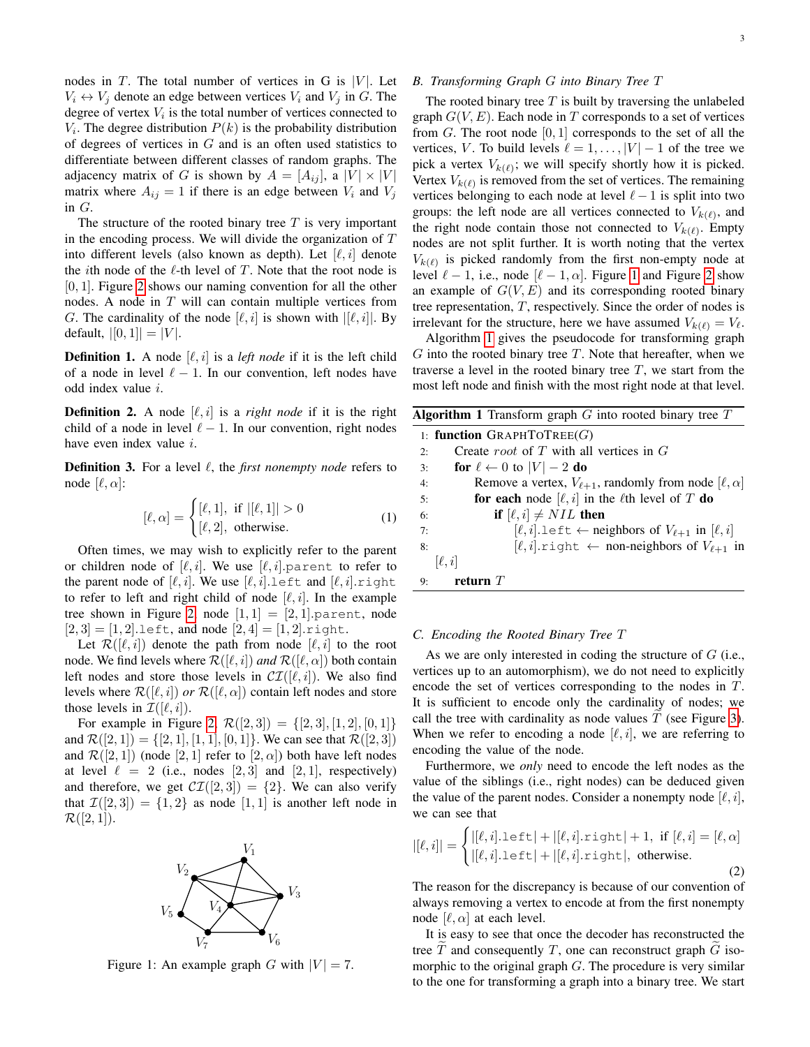nodes in T. The total number of vertices in G is  $|V|$ . Let  $V_i \leftrightarrow V_j$  denote an edge between vertices  $V_i$  and  $V_j$  in G. The degree of vertex  $V_i$  is the total number of vertices connected to  $V_i$ . The degree distribution  $P(k)$  is the probability distribution of degrees of vertices in  $G$  and is an often used statistics to differentiate between different classes of random graphs. The adjacency matrix of G is shown by  $A = [A_{ij}]$ , a  $|V| \times |V|$ matrix where  $A_{ij} = 1$  if there is an edge between  $V_i$  and  $V_j$ in G.

The structure of the rooted binary tree  $T$  is very important in the encoding process. We will divide the organization of  $T$ into different levels (also known as depth). Let  $[\ell, i]$  denote the *i*th node of the  $\ell$ -th level of T. Note that the root node is [0, 1]. Figure [2](#page-3-0) shows our naming convention for all the other nodes. A node in T will can contain multiple vertices from G. The cardinality of the node  $[\ell, i]$  is shown with  $|[\ell, i]|$ . By default,  $|[0, 1]| = |V|$ .

**Definition 1.** A node  $[\ell, i]$  is a *left node* if it is the left child of a node in level  $\ell - 1$ . In our convention, left nodes have odd index value i.

**Definition 2.** A node  $[\ell, i]$  is a *right node* if it is the right child of a node in level  $\ell - 1$ . In our convention, right nodes have even index value  $i$ .

**Definition 3.** For a level  $\ell$ , the *first nonempty node* refers to node  $[\ell, \alpha]$ :

$$
[\ell, \alpha] = \begin{cases} [\ell, 1], & \text{if } |[\ell, 1]| > 0 \\ [\ell, 2], & \text{otherwise.} \end{cases}
$$
 (1)

Often times, we may wish to explicitly refer to the parent or children node of  $[\ell, i]$ . We use  $[\ell, i]$ . parent to refer to the parent node of  $[\ell, i]$ . We use  $[\ell, i]$ . Left and  $[\ell, i]$ . right to refer to left and right child of node  $[\ell, i]$ . In the example tree shown in Figure [2,](#page-3-0) node  $[1, 1] = [2, 1]$ . parent, node  $[2, 3] = [1, 2]$ . Left, and node  $[2, 4] = [1, 2]$ . right.

Let  $\mathcal{R}([\ell, i])$  denote the path from node  $[\ell, i]$  to the root node. We find levels where  $\mathcal{R}([\ell, i])$  *and*  $\mathcal{R}([\ell, \alpha])$  both contain left nodes and store those levels in  $\mathcal{CI}([\ell, i])$ . We also find levels where  $\mathcal{R}([\ell, i])$  *or*  $\mathcal{R}([\ell, \alpha])$  contain left nodes and store those levels in  $\mathcal{I}([\ell, i])$ .

For example in Figure [2,](#page-3-0)  $\mathcal{R}([2,3]) = \{[2,3], [1,2], [0,1]\}$ and  $\mathcal{R}([2, 1]) = \{ [2, 1], [1, 1], [0, 1] \}$ . We can see that  $\mathcal{R}([2, 3])$ and  $\mathcal{R}([2,1])$  (node  $[2,1]$  refer to  $[2,\alpha]$ ) both have left nodes at level  $\ell = 2$  (i.e., nodes [2, 3] and [2, 1], respectively) and therefore, we get  $\mathcal{CI}([2,3]) = \{2\}$ . We can also verify that  $\mathcal{I}([2,3]) = \{1,2\}$  as node  $[1,1]$  is another left node in  $\mathcal{R}([2,1]).$ 

<span id="page-2-0"></span>

Figure 1: An example graph G with  $|V| = 7$ .

# *B. Transforming Graph* G *into Binary Tree* T

The rooted binary tree  $T$  is built by traversing the unlabeled graph  $G(V, E)$ . Each node in T corresponds to a set of vertices from  $G$ . The root node  $[0, 1]$  corresponds to the set of all the vertices, V. To build levels  $\ell = 1, \ldots, |V| - 1$  of the tree we pick a vertex  $V_{k(\ell)}$ ; we will specify shortly how it is picked. Vertex  $V_{k(\ell)}$  is removed from the set of vertices. The remaining vertices belonging to each node at level  $\ell - 1$  is split into two groups: the left node are all vertices connected to  $V_{k(\ell)}$ , and the right node contain those not connected to  $V_{k(\ell)}$ . Empty nodes are not split further. It is worth noting that the vertex  $V_{k(\ell)}$  is picked randomly from the first non-empty node at level  $\ell - 1$  $\ell - 1$ , i.e., node  $[\ell - 1, \alpha]$ . Figure 1 and Figure [2](#page-3-0) show an example of  $G(V, E)$  and its corresponding rooted binary tree representation, T, respectively. Since the order of nodes is irrelevant for the structure, here we have assumed  $V_{k(\ell)} = V_{\ell}$ .

Algorithm [1](#page-2-1) gives the pseudocode for transforming graph  $G$  into the rooted binary tree  $T$ . Note that hereafter, when we traverse a level in the rooted binary tree  $T$ , we start from the most left node and finish with the most right node at that level.

<span id="page-2-1"></span>

## *C. Encoding the Rooted Binary Tree* T

As we are only interested in coding the structure of  $G$  (i.e., vertices up to an automorphism), we do not need to explicitly encode the set of vertices corresponding to the nodes in T. It is sufficient to encode only the cardinality of nodes; we call the tree with cardinality as node values  $T$  (see Figure [3\)](#page-3-1). When we refer to encoding a node  $[\ell, i]$ , we are referring to encoding the value of the node.

Furthermore, we *only* need to encode the left nodes as the value of the siblings (i.e., right nodes) can be deduced given the value of the parent nodes. Consider a nonempty node  $[\ell, i]$ , we can see that

$$
|[\ell, i]| = \begin{cases} |[\ell, i].\text{left}| + |[\ell, i].\text{right}| + 1, \text{ if } [\ell, i] = [\ell, \alpha] \\ |[\ell, i].\text{left}| + |[\ell, i].\text{right}|, \text{ otherwise.} \end{cases}
$$
(2)

The reason for the discrepancy is because of our convention of always removing a vertex to encode at from the first nonempty node  $[\ell, \alpha]$  at each level.

It is easy to see that once the decoder has reconstructed the tree  $T$  and consequently  $T$ , one can reconstruct graph  $G$  isomorphic to the original graph  $G$ . The procedure is very similar to the one for transforming a graph into a binary tree. We start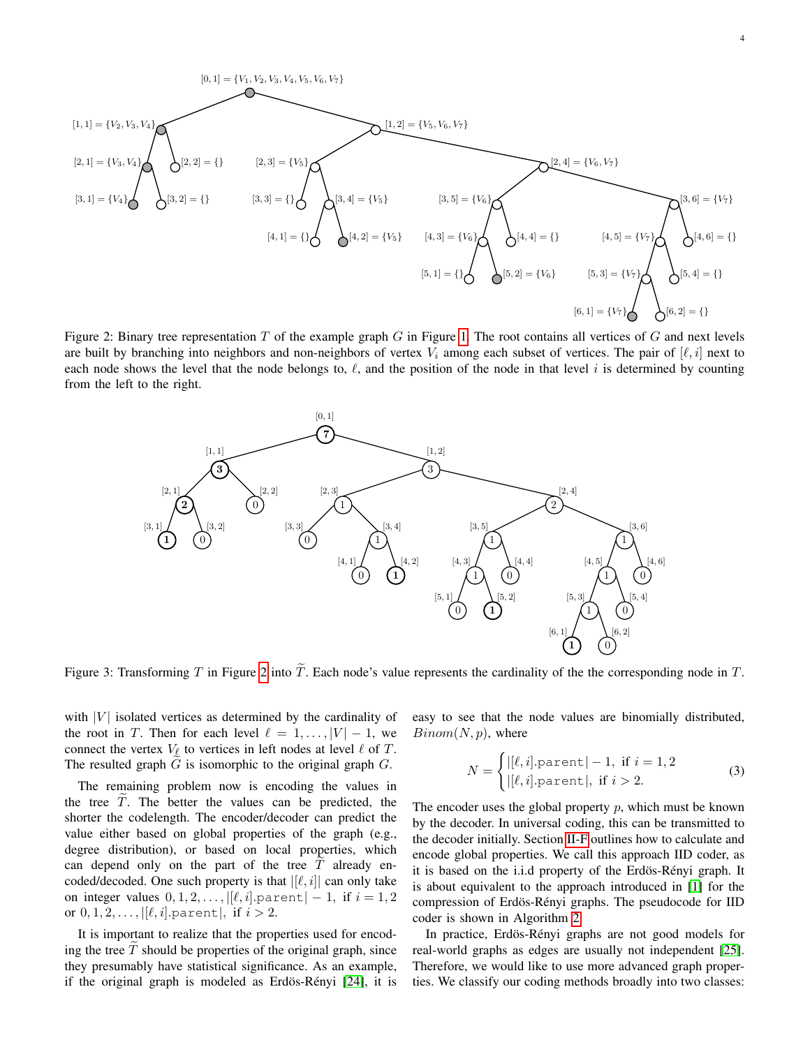<span id="page-3-0"></span>

Figure 2: Binary tree representation  $T$  of the example graph  $G$  in Figure [1.](#page-2-0) The root contains all vertices of  $G$  and next levels are built by branching into neighbors and non-neighbors of vertex  $V_i$  among each subset of vertices. The pair of  $[\ell, i]$  next to each node shows the level that the node belongs to,  $\ell$ , and the position of the node in that level i is determined by counting from the left to the right.

<span id="page-3-1"></span>

Figure 3: Transforming T in Figure [2](#page-3-0) into  $\tilde{T}$ . Each node's value represents the cardinality of the the corresponding node in T.

with  $|V|$  isolated vertices as determined by the cardinality of the root in T. Then for each level  $\ell = 1, \ldots, |V| - 1$ , we connect the vertex  $V_{\ell}$  to vertices in left nodes at level  $\ell$  of T. The resulted graph  $G$  is isomorphic to the original graph  $G$ .

The remaining problem now is encoding the values in the tree  $\overline{T}$ . The better the values can be predicted, the shorter the codelength. The encoder/decoder can predict the value either based on global properties of the graph (e.g., degree distribution), or based on local properties, which can depend only on the part of the tree  $\overline{T}$  already encoded/decoded. One such property is that  $|[\ell, i]|$  can only take on integer values  $0, 1, 2, \ldots, |[\ell, i].$  parent $|-1$ , if  $i = 1, 2$ or  $0, 1, 2, \ldots, |[\ell, i]$ . parent  $|,$  if  $i > 2$ .

It is important to realize that the properties used for encoding the tree  $T$  should be properties of the original graph, since they presumably have statistical significance. As an example, if the original graph is modeled as Erdös-Rényi [\[24\]](#page-12-18), it is easy to see that the node values are binomially distributed,  $Binom(N, p)$ , where

<span id="page-3-2"></span>
$$
N = \begin{cases} |[\ell, i].\text{parent}| - 1, & \text{if } i = 1, 2\\ |[\ell, i].\text{parent}|, & \text{if } i > 2. \end{cases}
$$
 (3)

The encoder uses the global property  $p$ , which must be known by the decoder. In universal coding, this can be transmitted to the decoder initially. Section [II-F](#page-6-0) outlines how to calculate and encode global properties. We call this approach IID coder, as it is based on the i.i.d property of the Erdös-Rényi graph. It is about equivalent to the approach introduced in [\[1\]](#page-11-0) for the compression of Erdös-Rényi graphs. The pseudocode for IID coder is shown in Algorithm [2.](#page-4-0)

In practice, Erdös-Rényi graphs are not good models for real-world graphs as edges are usually not independent [\[25\]](#page-12-19). Therefore, we would like to use more advanced graph properties. We classify our coding methods broadly into two classes: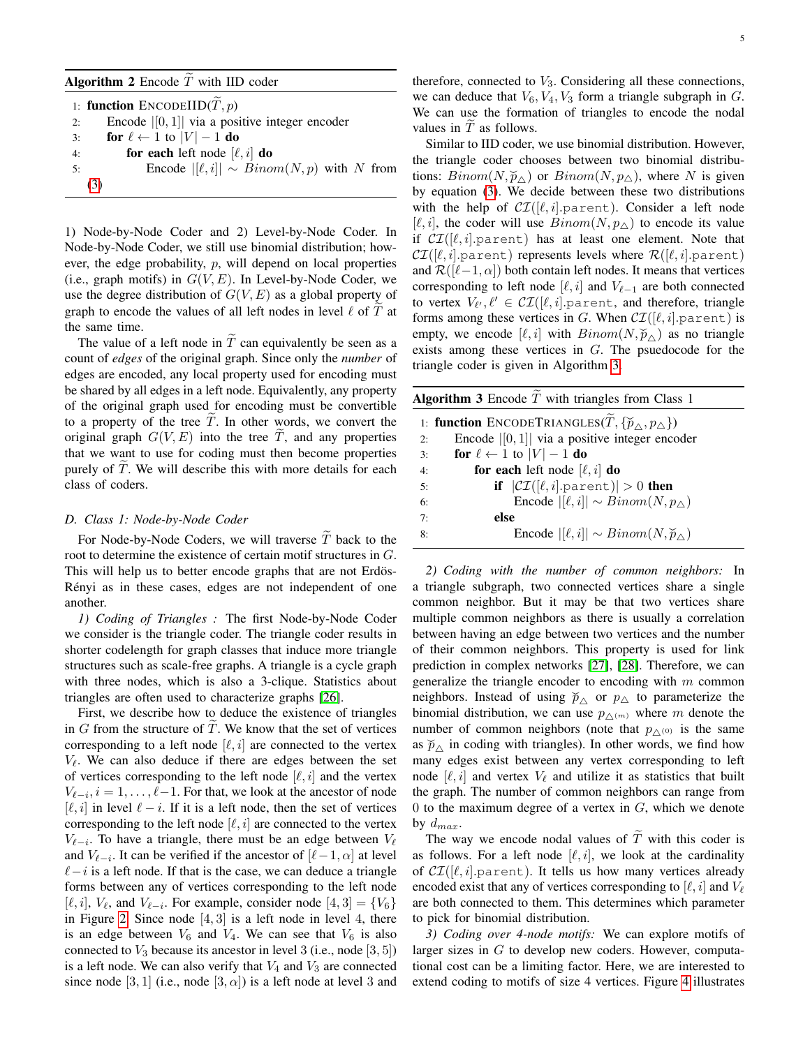## <span id="page-4-0"></span>Algorithm 2 Encode  $T$  with IID coder

|    | 1: function $ENCODEIID(T, p)$                     |
|----|---------------------------------------------------|
| 2: | Encode $ [0,1] $ via a positive integer encoder   |
| 3: | for $\ell \leftarrow 1$ to $ V  - 1$ do           |
| 4: | for each left node $[\ell, i]$ do                 |
| 5: | Encode $ [\ell, i]  \sim Binom(N, p)$ with N from |
|    | (3)                                               |

1) Node-by-Node Coder and 2) Level-by-Node Coder. In Node-by-Node Coder, we still use binomial distribution; however, the edge probability,  $p$ , will depend on local properties (i.e., graph motifs) in  $G(V, E)$ . In Level-by-Node Coder, we use the degree distribution of  $G(V, E)$  as a global property of graph to encode the values of all left nodes in level  $\ell$  of  $T$  at the same time.

The value of a left node in  $\widetilde{T}$  can equivalently be seen as a count of *edges* of the original graph. Since only the *number* of edges are encoded, any local property used for encoding must be shared by all edges in a left node. Equivalently, any property of the original graph used for encoding must be convertible to a property of the tree  $T$ . In other words, we convert the original graph  $G(V, E)$  into the tree T, and any properties that we want to use for coding must then become properties purely of  $T$ . We will describe this with more details for each class of coders.

#### *D. Class 1: Node-by-Node Coder*

For Node-by-Node Coders, we will traverse  $\widetilde{T}$  back to the root to determine the existence of certain motif structures in G. This will help us to better encode graphs that are not Erdös-Rényi as in these cases, edges are not independent of one another.

*1) Coding of Triangles :* The first Node-by-Node Coder we consider is the triangle coder. The triangle coder results in shorter codelength for graph classes that induce more triangle structures such as scale-free graphs. A triangle is a cycle graph with three nodes, which is also a 3-clique. Statistics about triangles are often used to characterize graphs [\[26\]](#page-12-20).

First, we describe how to deduce the existence of triangles in  $G$  from the structure of  $T$ . We know that the set of vertices corresponding to a left node  $[\ell, i]$  are connected to the vertex  $V_{\ell}$ . We can also deduce if there are edges between the set of vertices corresponding to the left node  $[\ell, i]$  and the vertex  $V_{\ell-i}, i = 1, \ldots, \ell-1$ . For that, we look at the ancestor of node  $[\ell, i]$  in level  $\ell - i$ . If it is a left node, then the set of vertices corresponding to the left node  $[\ell, i]$  are connected to the vertex  $V_{\ell-i}$ . To have a triangle, there must be an edge between  $V_{\ell}$ and  $V_{\ell-i}$ . It can be verified if the ancestor of  $[\ell-1, \alpha]$  at level  $\ell-i$  is a left node. If that is the case, we can deduce a triangle forms between any of vertices corresponding to the left node  $[\ell, i], V_\ell$ , and  $V_{\ell-i}$ . For example, consider node  $[4, 3] = \{V_6\}$ in Figure [2.](#page-3-0) Since node  $[4,3]$  is a left node in level 4, there is an edge between  $V_6$  and  $V_4$ . We can see that  $V_6$  is also connected to  $V_3$  because its ancestor in level 3 (i.e., node [3, 5]) is a left node. We can also verify that  $V_4$  and  $V_3$  are connected since node [3, 1] (i.e., node [3,  $\alpha$ ]) is a left node at level 3 and therefore, connected to  $V_3$ . Considering all these connections, we can deduce that  $V_6$ ,  $V_4$ ,  $V_3$  form a triangle subgraph in  $G$ . We can use the formation of triangles to encode the nodal values in  $T$  as follows.

Similar to IID coder, we use binomial distribution. However, the triangle coder chooses between two binomial distributions:  $Binom(N, \tilde{p}_{\triangle})$  or  $Binom(N, p_{\triangle})$ , where N is given by equation [\(3\)](#page-3-2). We decide between these two distributions with the help of  $\mathcal{CI}([\ell, i].$  parent). Consider a left node  $[\ell, i]$ , the coder will use  $Binom(N, p_{\triangle})$  to encode its value if  $CI([\ell, i].$  parent) has at least one element. Note that  $\mathcal{CI}([\ell, i].$  parent) represents levels where  $\mathcal{R}([\ell, i].$  parent) and  $\mathcal{R}([\ell-1, \alpha])$  both contain left nodes. It means that vertices corresponding to left node  $[\ell, i]$  and  $V_{\ell-1}$  are both connected to vertex  $V_{\ell'}, \ell' \in \mathcal{CI}([\ell, i].$ parent, and therefore, triangle forms among these vertices in G. When  $\mathcal{CI}([\ell, i].$  parent) is empty, we encode  $[\ell, i]$  with  $Binom(N, \widetilde{p}_{\triangle})$  as no triangle exists among these vertices in G. The psuedocode for the triangle coder is given in Algorithm [3.](#page-4-1)

<span id="page-4-1"></span>

| <b>Algorithm 3</b> Encode $T$ with triangles from Class 1                    |  |  |  |  |  |  |  |  |  |  |
|------------------------------------------------------------------------------|--|--|--|--|--|--|--|--|--|--|
| 1: function ENCODETRIANGLES $(T, \{\widetilde{p}_{\wedge}, p_{\triangle}\})$ |  |  |  |  |  |  |  |  |  |  |
| Encode $ [0, 1] $ via a positive integer encoder<br>2:                       |  |  |  |  |  |  |  |  |  |  |
| for $\ell \leftarrow 1$ to $ V  - 1$ do<br>3:                                |  |  |  |  |  |  |  |  |  |  |
| for each left node $[\ell, i]$ do<br>4:                                      |  |  |  |  |  |  |  |  |  |  |
| if $ \mathcal{CI}([\ell, i].$ parent)   > 0 then<br>5:                       |  |  |  |  |  |  |  |  |  |  |
| Encode $ [\ell, i]  \sim Binom(N, p_{\wedge})$<br>6:                         |  |  |  |  |  |  |  |  |  |  |
| else<br>7:                                                                   |  |  |  |  |  |  |  |  |  |  |
| Encode $ [\ell, i]  \sim Binom(N, \widetilde{p}_{\wedge})$<br>8:             |  |  |  |  |  |  |  |  |  |  |
|                                                                              |  |  |  |  |  |  |  |  |  |  |

*2) Coding with the number of common neighbors:* In a triangle subgraph, two connected vertices share a single common neighbor. But it may be that two vertices share multiple common neighbors as there is usually a correlation between having an edge between two vertices and the number of their common neighbors. This property is used for link prediction in complex networks [\[27\]](#page-12-21), [\[28\]](#page-12-22). Therefore, we can generalize the triangle encoder to encoding with  $m$  common neighbors. Instead of using  $\widetilde{p}_{\Delta}$  or  $p_{\Delta}$  to parameterize the binomial distribution, we can use  $p_{\wedge^{(m)}}$  where m denote the number of common neighbors (note that  $p_{\wedge^{(0)}}$  is the same as  $\tilde{p}_{\Delta}$  in coding with triangles). In other words, we find how many edges exist between any vertex corresponding to left node  $[\ell, i]$  and vertex  $V_\ell$  and utilize it as statistics that built the graph. The number of common neighbors can range from 0 to the maximum degree of a vertex in  $G$ , which we denote by  $d_{max}$ .

The way we encode nodal values of  $\overline{T}$  with this coder is as follows. For a left node  $[\ell, i]$ , we look at the cardinality of  $\mathcal{CI}([\ell, i].$  parent). It tells us how many vertices already encoded exist that any of vertices corresponding to  $[\ell, i]$  and  $V_\ell$ are both connected to them. This determines which parameter to pick for binomial distribution.

*3) Coding over 4-node motifs:* We can explore motifs of larger sizes in G to develop new coders. However, computational cost can be a limiting factor. Here, we are interested to extend coding to motifs of size 4 vertices. Figure [4](#page-5-0) illustrates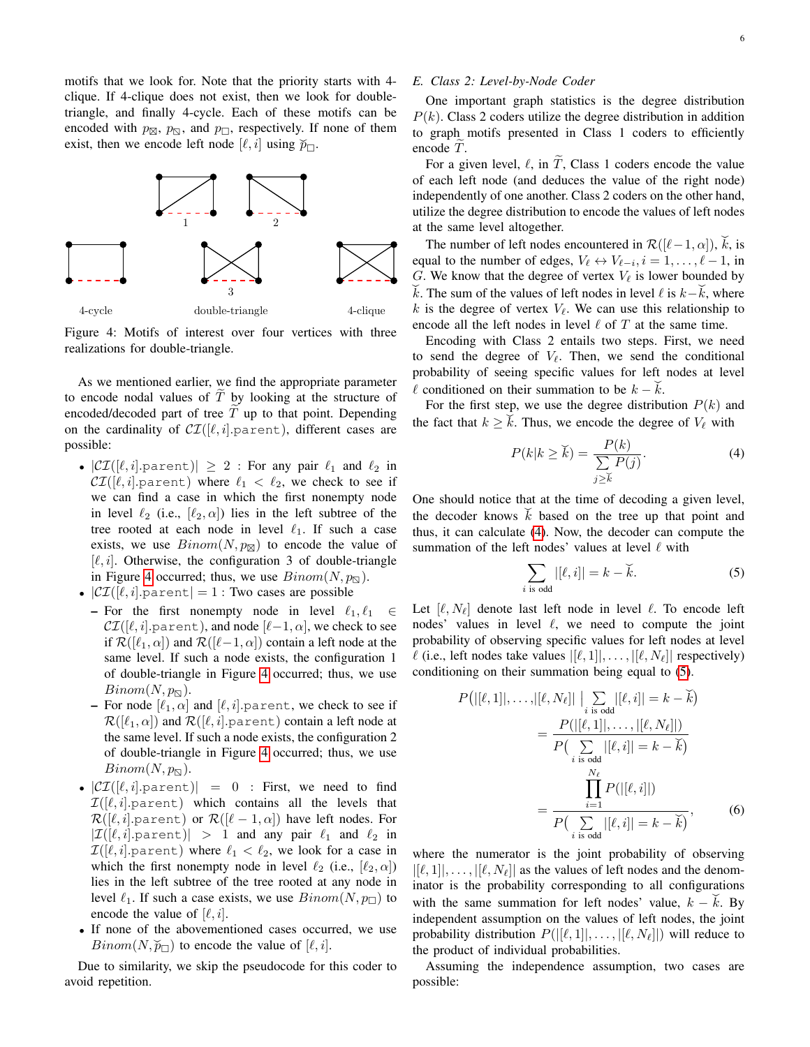motifs that we look for. Note that the priority starts with 4 clique. If 4-clique does not exist, then we look for doubletriangle, and finally 4-cycle. Each of these motifs can be encoded with  $p_{\boxtimes}$ ,  $p_{\boxtimes}$ , and  $p_{\square}$ , respectively. If none of them exist, then we encode left node  $[\ell, i]$  using  $\widetilde{p}_{\square}$ .

<span id="page-5-0"></span>

Figure 4: Motifs of interest over four vertices with three realizations for double-triangle.

As we mentioned earlier, we find the appropriate parameter to encode nodal values of  $\tilde{T}$  by looking at the structure of encoded/decoded part of tree  $\tilde{T}$  up to that point. Depending on the cardinality of  $CI([\ell, i].$  parent), different cases are possible:

- $|\mathcal{CI}([\ell, i].$  parent) $|\geq 2$ : For any pair  $\ell_1$  and  $\ell_2$  in  $\mathcal{CI}([\ell, i].$  parent) where  $\ell_1 < \ell_2$ , we check to see if we can find a case in which the first nonempty node in level  $\ell_2$  (i.e.,  $[\ell_2, \alpha]$ ) lies in the left subtree of the tree rooted at each node in level  $\ell_1$ . If such a case exists, we use  $Binom(N, p_{\boxtimes})$  to encode the value of  $[\ell, i]$ . Otherwise, the configuration 3 of double-triangle in Figure [4](#page-5-0) occurred; thus, we use  $Binom(N, p_{\mathbb{S}})$ .
- $|\mathcal{CI}([\ell, i].$  parent  $]=1$ : Two cases are possible
	- For the first nonempty node in level  $\ell_1, \ell_1 \in$  $\mathcal{CI}([\ell, i].$  parent), and node  $[\ell-1, \alpha]$ , we check to see if  $\mathcal{R}([\ell_1, \alpha])$  and  $\mathcal{R}([\ell-1, \alpha])$  contain a left node at the same level. If such a node exists, the configuration 1 of double-triangle in Figure [4](#page-5-0) occurred; thus, we use  $Binom(N, p_{\overline{N}}).$
	- For node  $[\ell_1, \alpha]$  and  $[\ell, i]$ . parent, we check to see if  $\mathcal{R}([\ell_1, \alpha])$  and  $\mathcal{R}([\ell, i].$  parent) contain a left node at the same level. If such a node exists, the configuration 2 of double-triangle in Figure [4](#page-5-0) occurred; thus, we use  $Binom(N, p_{\mathbb{Z}}).$
- $|\mathcal{CI}([\ell, i].\text{parent})| = 0$  : First, we need to find  $\mathcal{I}([\ell, i].$ parent) which contains all the levels that  $\mathcal{R}([\ell, i].$  parent) or  $\mathcal{R}([\ell - 1, \alpha])$  have left nodes. For  $|\mathcal{I}([\ell, i].$  parent) > 1 and any pair  $\ell_1$  and  $\ell_2$  in  $\mathcal{I}([\ell, i].$  parent) where  $\ell_1 < \ell_2$ , we look for a case in which the first nonempty node in level  $\ell_2$  (i.e.,  $[\ell_2, \alpha]$ ) lies in the left subtree of the tree rooted at any node in level  $\ell_1$ . If such a case exists, we use  $Binom(N, p)$  to encode the value of  $[\ell, i]$ .
- If none of the abovementioned cases occurred, we use Binom( $N$ ,  $\widetilde{p}_{\square}$ ) to encode the value of [ $\ell$ , *i*].

Due to similarity, we skip the pseudocode for this coder to avoid repetition.

# *E. Class 2: Level-by-Node Coder*

One important graph statistics is the degree distribution  $P(k)$ . Class 2 coders utilize the degree distribution in addition to graph motifs presented in Class 1 coders to efficiently encode  $T$ .

For a given level,  $\ell$ , in T, Class 1 coders encode the value of each left node (and deduces the value of the right node) independently of one another. Class 2 coders on the other hand, utilize the degree distribution to encode the values of left nodes at the same level altogether.

The number of left nodes encountered in  $\mathcal{R}([\ell-1,\alpha])$ ,  $\check{k}$ , is equal to the number of edges,  $V_{\ell} \leftrightarrow V_{\ell-i}, i = 1, \dots, \ell - 1$ , in G. We know that the degree of vertex  $V_\ell$  is lower bounded by  $\vec{k}$ . The sum of the values of left nodes in level  $\ell$  is  $k - \vec{k}$ , where k is the degree of vertex  $V_\ell$ . We can use this relationship to encode all the left nodes in level  $\ell$  of  $T$  at the same time.

Encoding with Class 2 entails two steps. First, we need to send the degree of  $V_\ell$ . Then, we send the conditional probability of seeing specific values for left nodes at level  $\ell$  conditioned on their summation to be  $k - \ell$ .

For the first step, we use the degree distribution  $P(k)$  and the fact that  $k \geq \check{k}$ . Thus, we encode the degree of  $V_{\ell}$  with

<span id="page-5-1"></span>
$$
P(k|k \ge \breve{k}) = \frac{P(k)}{\sum\limits_{j \ge \breve{k}} P(j)}.
$$
 (4)

One should notice that at the time of decoding a given level, the decoder knows  $\vec{k}$  based on the tree up that point and thus, it can calculate [\(4\)](#page-5-1). Now, the decoder can compute the summation of the left nodes' values at level  $\ell$  with

<span id="page-5-2"></span>
$$
\sum_{i \text{ is odd}} |[\ell, i]| = k - \check{k}.\tag{5}
$$

Let  $[\ell, N_{\ell}]$  denote last left node in level  $\ell$ . To encode left nodes' values in level  $\ell$ , we need to compute the joint probability of observing specific values for left nodes at level  $\ell$  (i.e., left nodes take values  $|[\ell, 1]|, \ldots, |[\ell, N_\ell]|$  respectively) conditioning on their summation being equal to [\(5\)](#page-5-2).

<span id="page-5-3"></span>
$$
P(|[\ell, 1]|, \dots, |[\ell, N_{\ell}]| \Big| \sum_{i \text{ is odd}} |[\ell, i]| = k - \breve{k})
$$
  
= 
$$
\frac{P(|[\ell, 1]|, \dots, |[\ell, N_{\ell}]|)}{P(\sum_{i \text{ is odd}} |[\ell, i]| = k - \breve{k})}
$$
  
= 
$$
\frac{\prod_{i=1}^{N_{\ell}} P(|[\ell, i]|)}{P(\sum_{i \text{ is odd}} |[\ell, i]| = k - \breve{k})},
$$
 (6)

where the numerator is the joint probability of observing  $|[\ell, 1]|, \ldots, |[\ell, N_{\ell}]|$  as the values of left nodes and the denominator is the probability corresponding to all configurations with the same summation for left nodes' value,  $k - \dot{k}$ . By independent assumption on the values of left nodes, the joint probability distribution  $P(||\ell, 1||, \ldots, ||\ell, N_\ell||)$  will reduce to the product of individual probabilities.

Assuming the independence assumption, two cases are possible: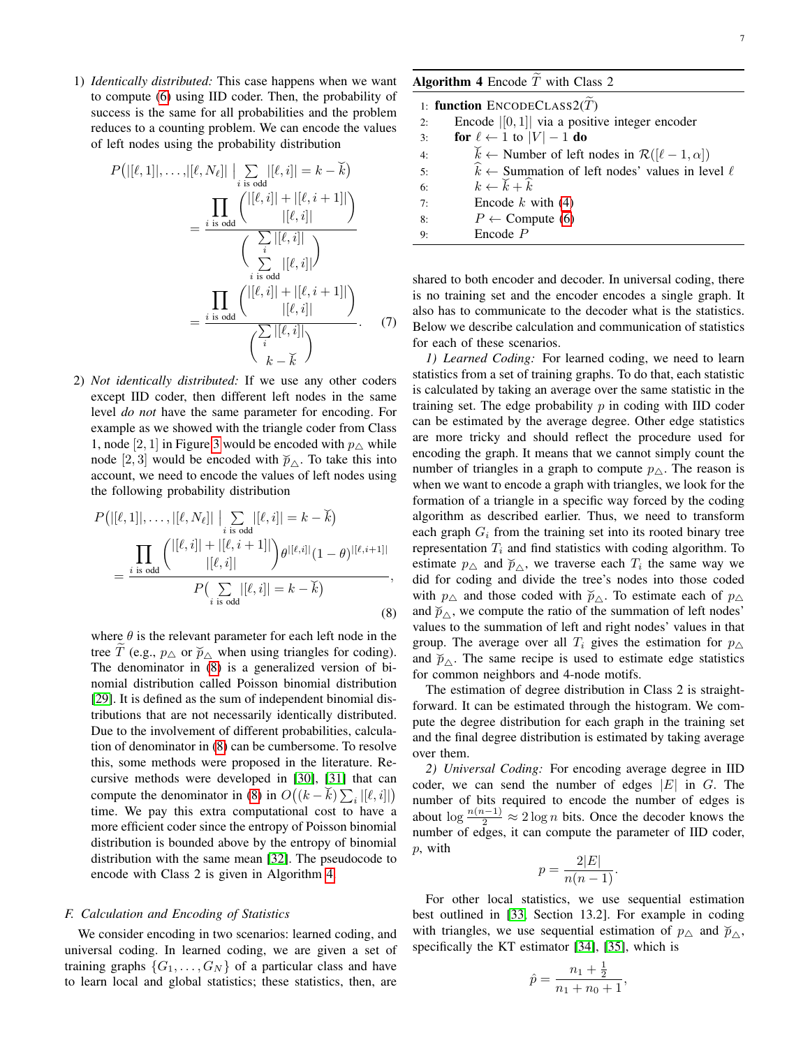1) *Identically distributed:* This case happens when we want to compute [\(6\)](#page-5-3) using IID coder. Then, the probability of success is the same for all probabilities and the problem reduces to a counting problem. We can encode the values of left nodes using the probability distribution

$$
P\left(||\ell, 1||, \ldots, |[\ell, N_{\ell}]|| \big| \sum_{i \text{ is odd}} |[\ell, i]| = k - \breve{k}\right)
$$
\n
$$
= \frac{\prod_{i \text{ is odd}} \left( \frac{|[\ell, i]| + |[\ell, i + 1]|}{|[\ell, i]|} \right)}{\left(\sum_{i \text{ is odd}} |[\ell, i]| \right)}
$$
\n
$$
= \frac{\prod_{i \text{ is odd}} \left( \frac{|[\ell, i]| + |[\ell, i + 1]|}{|[\ell, i]|} \right)}{\left(\sum_{i \text{ is odd}} |[\ell, i]| - |\ell, i + 1|\right)}
$$
\n
$$
= \frac{\prod_{i \text{ is odd}} \left( \frac{|[\ell, i]| + |[\ell, i + 1]|}{|[\ell, i]|} \right)}{\left(\sum_{i} |[\ell, i]| \right)}.
$$
\n(7)

2) *Not identically distributed:* If we use any other coders except IID coder, then different left nodes in the same level *do not* have the same parameter for encoding. For example as we showed with the triangle coder from Class 1, node [2, 1] in Figure [3](#page-3-1) would be encoded with  $p_{\Delta}$  while i, node [2, 3] would be encoded with  $\widetilde{p}_{\Delta}$ . To take this into account, we need to encode the values of left nodes using the following probability distribution

$$
P\big(|[\ell,1]|,\ldots,|[\ell,N_{\ell}]|\Big| \sum_{i \text{ is odd}} |[\ell,i]| = k - \breve{k}\big) = \frac{\prod_{i \text{ is odd}} \binom{|[\ell,i]|+|[\ell,i+1]|}{|[\ell,i]|} \theta^{|[\ell,i]|}(1-\theta)^{|[\ell,i+1]|}}{P\big(\sum_{i \text{ is odd}} |[\ell,i]| = k - \breve{k}\big)},
$$
(8)

where  $\theta$  is the relevant parameter for each left node in the tree  $\tilde{T}$  (e.g.,  $p_{\triangle}$  or  $\tilde{p}_{\triangle}$  when using triangles for coding). The denominator in [\(8\)](#page-6-1) is a generalized version of binomial distribution called Poisson binomial distribution [\[29\]](#page-12-23). It is defined as the sum of independent binomial distributions that are not necessarily identically distributed. Due to the involvement of different probabilities, calculation of denominator in [\(8\)](#page-6-1) can be cumbersome. To resolve this, some methods were proposed in the literature. Re-cursive methods were developed in [\[30\]](#page-12-24), [\[31\]](#page-12-25) that can compute the denominator in [\(8\)](#page-6-1) in  $O((k - \breve{k}) \sum_i |[\ell, i]|)$ time. We pay this extra computational cost to have a more efficient coder since the entropy of Poisson binomial distribution is bounded above by the entropy of binomial distribution with the same mean [\[32\]](#page-12-26). The pseudocode to encode with Class 2 is given in Algorithm [4.](#page-6-2)

# <span id="page-6-0"></span>*F. Calculation and Encoding of Statistics*

We consider encoding in two scenarios: learned coding, and universal coding. In learned coding, we are given a set of training graphs  $\{G_1, \ldots, G_N\}$  of a particular class and have to learn local and global statistics; these statistics, then, are

<span id="page-6-2"></span>

| Algorithm 4 Encode $T$ with Class 2 |  |
|-------------------------------------|--|
|                                     |  |

|    | 1: function $ENCODE CLASS2(T)$                                                |
|----|-------------------------------------------------------------------------------|
| 2: | Encode $ [0, 1] $ via a positive integer encoder                              |
| 3: | for $\ell \leftarrow 1$ to $ V  - 1$ do                                       |
| 4: | $\breve{k} \leftarrow$ Number of left nodes in $\mathcal{R}([\ell-1,\alpha])$ |
| 5: | $\hat{k} \leftarrow$ Summation of left nodes' values in level $\ell$          |
| 6: | $k \leftarrow \check{k} + \hat{k}$                                            |
| 7: | Encode $k$ with (4)                                                           |
| 8: | $P \leftarrow$ Compute (6)                                                    |
| 9: | $Encode$ $P$                                                                  |
|    |                                                                               |

shared to both encoder and decoder. In universal coding, there is no training set and the encoder encodes a single graph. It also has to communicate to the decoder what is the statistics. Below we describe calculation and communication of statistics for each of these scenarios.

*1) Learned Coding:* For learned coding, we need to learn statistics from a set of training graphs. To do that, each statistic is calculated by taking an average over the same statistic in the training set. The edge probability  $p$  in coding with IID coder can be estimated by the average degree. Other edge statistics are more tricky and should reflect the procedure used for encoding the graph. It means that we cannot simply count the number of triangles in a graph to compute  $p_{\Delta}$ . The reason is when we want to encode a graph with triangles, we look for the formation of a triangle in a specific way forced by the coding algorithm as described earlier. Thus, we need to transform each graph  $G_i$  from the training set into its rooted binary tree representation  $T_i$  and find statistics with coding algorithm. To estimate  $p_{\Delta}$  and  $\widetilde{p}_{\Delta}$ , we traverse each  $T_i$  the same way we did for coding and divide the tree's nodes into those coded with  $p_{\Delta}$  and those coded with  $\widetilde{p}_{\Delta}$ . To estimate each of  $p_{\Delta}$ what  $p_{\Delta}$  and those voiced what  $p_{\Delta}$ . To estimate each of  $p_{\Delta}$  and  $\tilde{p}_{\Delta}$ , we compute the ratio of the summation of left nodes' values to the summation of left and right nodes' values in that group. The average over all  $T_i$  gives the estimation for  $p_{\Delta}$ and  $\check{p}_{\Delta}$ . The same recipe is used to estimate edge statistics for common neighbors and 4-node motifs.

<span id="page-6-1"></span>The estimation of degree distribution in Class 2 is straightforward. It can be estimated through the histogram. We compute the degree distribution for each graph in the training set and the final degree distribution is estimated by taking average over them.

*2) Universal Coding:* For encoding average degree in IID coder, we can send the number of edges  $|E|$  in G. The number of bits required to encode the number of edges is about  $\log \frac{n(n-1)}{2} \approx 2 \log n$  bits. Once the decoder knows the number of edges, it can compute the parameter of IID coder, p, with

$$
p = \frac{2|E|}{n(n-1)}.
$$

For other local statistics, we use sequential estimation best outlined in [\[33,](#page-12-27) Section 13.2]. For example in coding with triangles, we use sequential estimation of  $p_{\Delta}$  and  $\widetilde{p}_{\Delta}$ , specifically the KT estimator [\[34\]](#page-12-28), [\[35\]](#page-12-29), which is

$$
\hat{p} = \frac{n_1 + \frac{1}{2}}{n_1 + n_0 + 1},
$$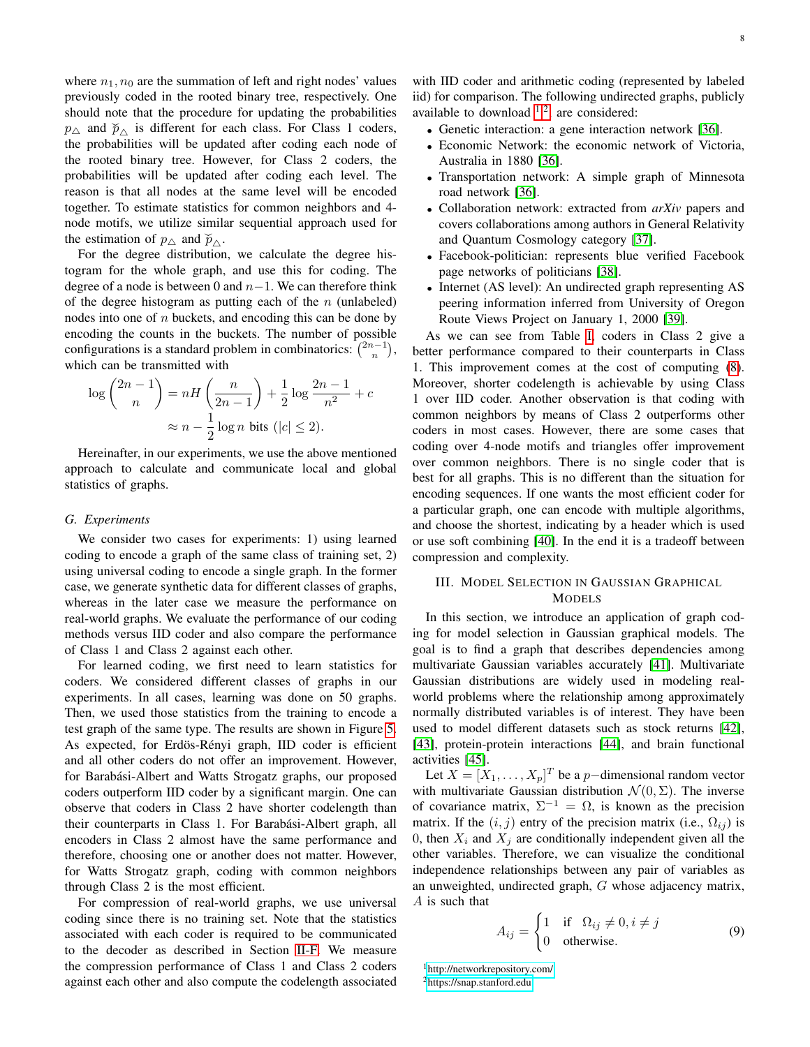where  $n_1$ ,  $n_0$  are the summation of left and right nodes' values previously coded in the rooted binary tree, respectively. One should note that the procedure for updating the probabilities  $p_{\Delta}$  and  $\widetilde{p}_{\Delta}$  is different for each class. For Class 1 coders, the probabilities will be updated after coding each node of the rooted binary tree. However, for Class 2 coders, the probabilities will be updated after coding each level. The reason is that all nodes at the same level will be encoded together. To estimate statistics for common neighbors and 4 node motifs, we utilize similar sequential approach used for the estimation of  $p_{\Delta}$  and  $\tilde{p}_{\Delta}$ .

For the degree distribution, we calculate the degree histogram for the whole graph, and use this for coding. The degree of a node is between 0 and  $n-1$ . We can therefore think of the degree histogram as putting each of the  $n$  (unlabeled) nodes into one of n buckets, and encoding this can be done by encoding the counts in the buckets. The number of possible configurations is a standard problem in combinatorics:  $\binom{2n-1}{n}$ , which can be transmitted with

$$
\log {2n-1 \choose n} = nH\left(\frac{n}{2n-1}\right) + \frac{1}{2}\log\frac{2n-1}{n^2} + c
$$

$$
\approx n - \frac{1}{2}\log n \text{ bits } (|c| \le 2).
$$

Hereinafter, in our experiments, we use the above mentioned approach to calculate and communicate local and global statistics of graphs.

#### *G. Experiments*

We consider two cases for experiments: 1) using learned coding to encode a graph of the same class of training set, 2) using universal coding to encode a single graph. In the former case, we generate synthetic data for different classes of graphs, whereas in the later case we measure the performance on real-world graphs. We evaluate the performance of our coding methods versus IID coder and also compare the performance of Class 1 and Class 2 against each other.

For learned coding, we first need to learn statistics for coders. We considered different classes of graphs in our experiments. In all cases, learning was done on 50 graphs. Then, we used those statistics from the training to encode a test graph of the same type. The results are shown in Figure [5.](#page-8-0) As expected, for Erdös-Rényi graph, IID coder is efficient and all other coders do not offer an improvement. However, for Barabási-Albert and Watts Strogatz graphs, our proposed coders outperform IID coder by a significant margin. One can observe that coders in Class 2 have shorter codelength than their counterparts in Class 1. For Barabási-Albert graph, all encoders in Class 2 almost have the same performance and therefore, choosing one or another does not matter. However, for Watts Strogatz graph, coding with common neighbors through Class 2 is the most efficient.

For compression of real-world graphs, we use universal coding since there is no training set. Note that the statistics associated with each coder is required to be communicated to the decoder as described in Section [II-F.](#page-6-0) We measure the compression performance of Class 1 and Class 2 coders against each other and also compute the codelength associated

with IID coder and arithmetic coding (represented by labeled iid) for comparison. The following undirected graphs, publicly available to download  $1,2$  $1,2$ , are considered:

- Genetic interaction: a gene interaction network [\[36\]](#page-12-30).
- Economic Network: the economic network of Victoria, Australia in 1880 [\[36\]](#page-12-30).
- Transportation network: A simple graph of Minnesota road network [\[36\]](#page-12-30).
- Collaboration network: extracted from *arXiv* papers and covers collaborations among authors in General Relativity and Quantum Cosmology category [\[37\]](#page-12-31).
- Facebook-politician: represents blue verified Facebook page networks of politicians [\[38\]](#page-12-32).
- Internet (AS level): An undirected graph representing AS peering information inferred from University of Oregon Route Views Project on January 1, 2000 [\[39\]](#page-12-33).

As we can see from Table [I,](#page-8-1) coders in Class 2 give a better performance compared to their counterparts in Class 1. This improvement comes at the cost of computing [\(8\)](#page-6-1). Moreover, shorter codelength is achievable by using Class 1 over IID coder. Another observation is that coding with common neighbors by means of Class 2 outperforms other coders in most cases. However, there are some cases that coding over 4-node motifs and triangles offer improvement over common neighbors. There is no single coder that is best for all graphs. This is no different than the situation for encoding sequences. If one wants the most efficient coder for a particular graph, one can encode with multiple algorithms, and choose the shortest, indicating by a header which is used or use soft combining [\[40\]](#page-12-34). In the end it is a tradeoff between compression and complexity.

# <span id="page-7-0"></span>III. MODEL SELECTION IN GAUSSIAN GRAPHICAL MODELS

In this section, we introduce an application of graph coding for model selection in Gaussian graphical models. The goal is to find a graph that describes dependencies among multivariate Gaussian variables accurately [\[41\]](#page-12-35). Multivariate Gaussian distributions are widely used in modeling realworld problems where the relationship among approximately normally distributed variables is of interest. They have been used to model different datasets such as stock returns [\[42\]](#page-12-36), [\[43\]](#page-12-37), protein-protein interactions [\[44\]](#page-12-38), and brain functional activities [\[45\]](#page-12-39).

Let  $X = [X_1, \dots, X_p]^T$  be a *p*−dimensional random vector with multivariate Gaussian distribution  $\mathcal{N}(0, \Sigma)$ . The inverse of covariance matrix,  $\Sigma^{-1} = \Omega$ , is known as the precision matrix. If the  $(i, j)$  entry of the precision matrix (i.e.,  $\Omega_{ij}$ ) is 0, then  $X_i$  and  $X_j$  are conditionally independent given all the other variables. Therefore, we can visualize the conditional independence relationships between any pair of variables as an unweighted, undirected graph, G whose adjacency matrix, A is such that

<span id="page-7-3"></span>
$$
A_{ij} = \begin{cases} 1 & \text{if } \Omega_{ij} \neq 0, i \neq j \\ 0 & \text{otherwise.} \end{cases}
$$
 (9)

<span id="page-7-2"></span><span id="page-7-1"></span><sup>1</sup><http://networkrepository.com/> <sup>2</sup><https://snap.stanford.edu>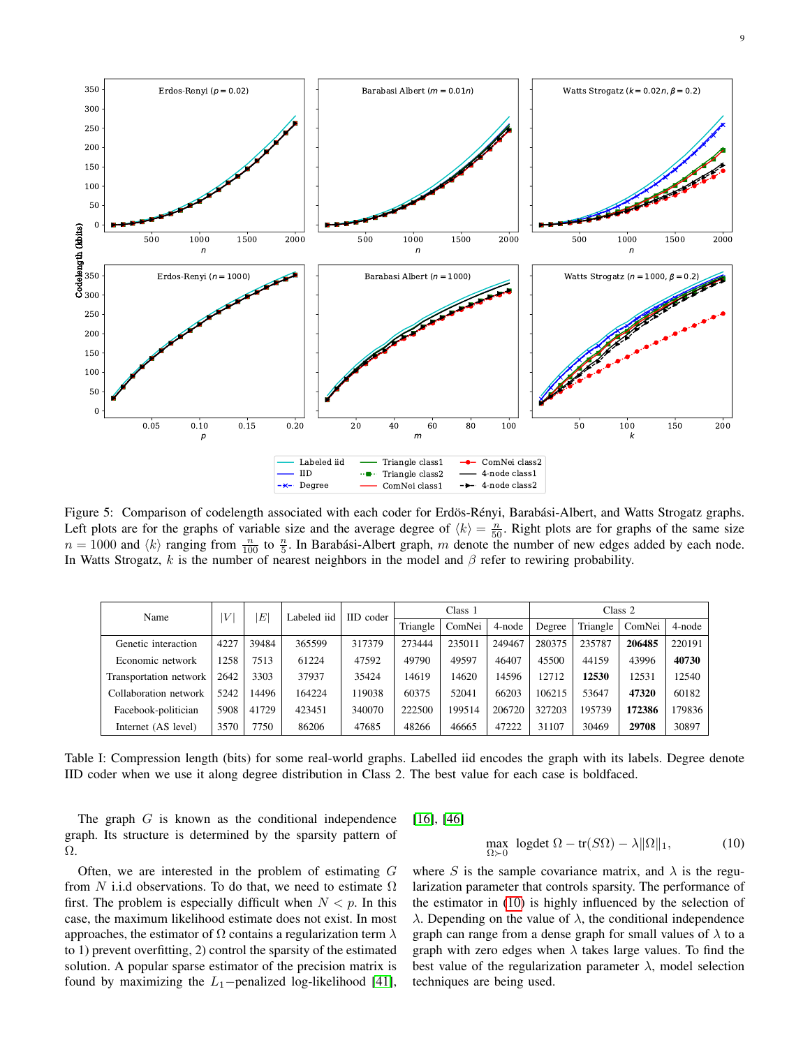<span id="page-8-0"></span>

Figure 5: Comparison of codelength associated with each coder for Erdös-Rényi, Barabási-Albert, and Watts Strogatz graphs. Left plots are for the graphs of variable size and the average degree of  $\langle k \rangle = \frac{n}{50}$ . Right plots are for graphs of the same size  $n = 1000$  and  $\langle k \rangle$  ranging from  $\frac{n}{100}$  to  $\frac{n}{5}$ . In Barabási-Albert graph, m denote the number of new edges added by each node. In Watts Strogatz, k is the number of nearest neighbors in the model and  $\beta$  refer to rewiring probability.

<span id="page-8-1"></span>

| Name                   | V    | E     | Labeled iid | IID coder |          | Class 1 |        | Class 2 |          |        |        |
|------------------------|------|-------|-------------|-----------|----------|---------|--------|---------|----------|--------|--------|
|                        |      |       |             |           | Triangle | ComNei  | 4-node | Degree  | Triangle | ComNei | 4-node |
| Genetic interaction    | 4227 | 39484 | 365599      | 317379    | 273444   | 235011  | 249467 | 280375  | 235787   | 206485 | 220191 |
| Economic network       | 1258 | 7513  | 61224       | 47592     | 49790    | 49597   | 46407  | 45500   | 44159    | 43996  | 40730  |
| Transportation network | 2642 | 3303  | 37937       | 35424     | 14619    | 14620   | 14596  | 12712   | 12530    | 12531  | 12540  |
| Collaboration network  | 5242 | 14496 | 164224      | 119038    | 60375    | 52041   | 66203  | 106215  | 53647    | 47320  | 60182  |
| Facebook-politician    | 5908 | 41729 | 423451      | 340070    | 222500   | 199514  | 206720 | 327203  | 195739   | 172386 | 179836 |
| Internet (AS level)    | 3570 | 7750  | 86206       | 47685     | 48266    | 46665   | 47222  | 31107   | 30469    | 29708  | 30897  |

Table I: Compression length (bits) for some real-world graphs. Labelled iid encodes the graph with its labels. Degree denote IID coder when we use it along degree distribution in Class 2. The best value for each case is boldfaced.

The graph  $G$  is known as the conditional independence graph. Its structure is determined by the sparsity pattern of Ω.

Often, we are interested in the problem of estimating  $G$ from N i.i.d observations. To do that, we need to estimate  $\Omega$ first. The problem is especially difficult when  $N < p$ . In this case, the maximum likelihood estimate does not exist. In most approaches, the estimator of  $\Omega$  contains a regularization term  $\lambda$ to 1) prevent overfitting, 2) control the sparsity of the estimated solution. A popular sparse estimator of the precision matrix is found by maximizing the  $L_1$ −penalized log-likelihood [\[41\]](#page-12-35), [\[16\]](#page-12-10), [\[46\]](#page-12-40)

<span id="page-8-2"></span>
$$
\max_{\Omega \succ 0} \text{ logdet } \Omega - \text{tr}(S\Omega) - \lambda \|\Omega\|_1,\tag{10}
$$

where S is the sample covariance matrix, and  $\lambda$  is the regularization parameter that controls sparsity. The performance of the estimator in [\(10\)](#page-8-2) is highly influenced by the selection of  $\lambda$ . Depending on the value of  $\lambda$ , the conditional independence graph can range from a dense graph for small values of  $\lambda$  to a graph with zero edges when  $\lambda$  takes large values. To find the best value of the regularization parameter  $\lambda$ , model selection techniques are being used.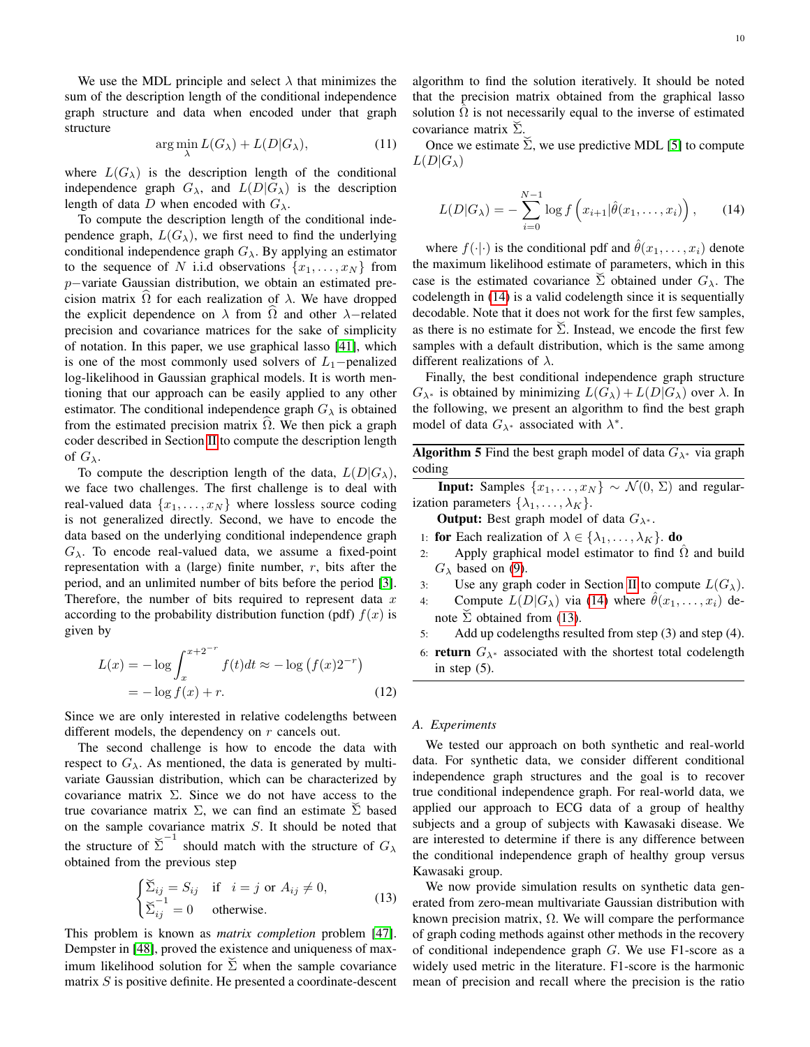We use the MDL principle and select  $\lambda$  that minimizes the sum of the description length of the conditional independence graph structure and data when encoded under that graph structure

$$
\arg\min_{\lambda} L(G_{\lambda}) + L(D|G_{\lambda}),\tag{11}
$$

where  $L(G_\lambda)$  is the description length of the conditional independence graph  $G_{\lambda}$ , and  $L(D|G_{\lambda})$  is the description length of data D when encoded with  $G_{\lambda}$ .

To compute the description length of the conditional independence graph,  $L(G_\lambda)$ , we first need to find the underlying conditional independence graph  $G_{\lambda}$ . By applying an estimator to the sequence of N i.i.d observations  $\{x_1, \ldots, x_N\}$  from p−variate Gaussian distribution, we obtain an estimated precision matrix  $\Omega$  for each realization of  $\lambda$ . We have dropped the explicit dependence on  $\lambda$  from  $\Omega$  and other  $\lambda$ -related precision and covariance matrices for the sake of simplicity of notation. In this paper, we use graphical lasso [\[41\]](#page-12-35), which is one of the most commonly used solvers of  $L_1$ −penalized log-likelihood in Gaussian graphical models. It is worth mentioning that our approach can be easily applied to any other estimator. The conditional independence graph  $G_{\lambda}$  is obtained from the estimated precision matrix  $\Omega$ . We then pick a graph coder described in Section [II](#page-1-1) to compute the description length of  $G_{\lambda}$ .

To compute the description length of the data,  $L(D|G_\lambda)$ , we face two challenges. The first challenge is to deal with real-valued data  $\{x_1, \ldots, x_N\}$  where lossless source coding is not generalized directly. Second, we have to encode the data based on the underlying conditional independence graph  $G_{\lambda}$ . To encode real-valued data, we assume a fixed-point representation with a (large) finite number,  $r$ , bits after the period, and an unlimited number of bits before the period [\[3\]](#page-11-2). Therefore, the number of bits required to represent data  $x$ according to the probability distribution function (pdf)  $f(x)$  is given by

$$
L(x) = -\log \int_{x}^{x+2^{-r}} f(t)dt \approx -\log (f(x)2^{-r})
$$
  
=  $-\log f(x) + r.$  (12)

Since we are only interested in relative codelengths between different models, the dependency on  $r$  cancels out.

The second challenge is how to encode the data with respect to  $G_{\lambda}$ . As mentioned, the data is generated by multivariate Gaussian distribution, which can be characterized by covariance matrix  $\Sigma$ . Since we do not have access to the true covariance matrix  $\Sigma$ , we can find an estimate  $\Sigma$  based on the sample covariance matrix S. It should be noted that the structure of  $\sum^{-1}$  should match with the structure of  $G_{\lambda}$ obtained from the previous step

<span id="page-9-1"></span>
$$
\begin{cases} \sum_{ij} = S_{ij} & \text{if } i = j \text{ or } A_{ij} \neq 0, \\ \sum_{ij}^{-1} = 0 & \text{otherwise.} \end{cases}
$$
 (13)

This problem is known as *matrix completion* problem [\[47\]](#page-12-41). Dempster in [\[48\]](#page-12-42), proved the existence and uniqueness of maximum likelihood solution for  $\Sigma$  when the sample covariance matrix  $S$  is positive definite. He presented a coordinate-descent algorithm to find the solution iteratively. It should be noted that the precision matrix obtained from the graphical lasso solution  $\hat{\Omega}$  is not necessarily equal to the inverse of estimated covariance matrix Σ.

Once we estimate .<br>Σ, we use predictive MDL [\[5\]](#page-11-4) to compute  $L(D|G_\lambda)$ 

<span id="page-9-0"></span>
$$
L(D|G_{\lambda}) = -\sum_{i=0}^{N-1} \log f\left(x_{i+1}|\hat{\theta}(x_1,\ldots,x_i)\right), \qquad (14)
$$

where  $f(\cdot|\cdot)$  is the conditional pdf and  $\hat{\theta}(x_1,\ldots,x_i)$  denote the maximum likelihood estimate of parameters, which in this case is the estimated covariance  $\sum$  obtained under  $G_{\lambda}$ . The codelength in [\(14\)](#page-9-0) is a valid codelength since it is sequentially decodable. Note that it does not work for the first few samples, as there is no estimate for  $\Sigma$ . Instead, we encode the first few samples with a default distribution, which is the same among different realizations of  $\lambda$ .

Finally, the best conditional independence graph structure  $G_{\lambda^*}$  is obtained by minimizing  $L(G_{\lambda}) + L(D|G_{\lambda})$  over  $\lambda$ . In the following, we present an algorithm to find the best graph model of data  $G_{\lambda^*}$  associated with  $\lambda^*$ .

<span id="page-9-2"></span>**Algorithm 5** Find the best graph model of data  $G_{\lambda^*}$  via graph coding

**Input:** Samples  $\{x_1, \ldots, x_N\} \sim \mathcal{N}(0, \Sigma)$  and regularization parameters  $\{\lambda_1, \ldots, \lambda_K\}.$ 

**Output:** Best graph model of data  $G_{\lambda^*}$ .

1: **for** Each realization of  $\lambda \in \{\lambda_1, \dots, \lambda_K\}$ . **do** 

- 2: Apply graphical model estimator to find  $\hat{\Omega}$  and build  $G_{\lambda}$  based on [\(9\)](#page-7-3).
- 3: Use any graph coder in Section [II](#page-1-1) to compute  $L(G_\lambda)$ .
- 4: Compute  $L(D|G_\lambda)$  via [\(14\)](#page-9-0) where  $\hat{\theta}(x_1,\ldots,x_i)$  denote  $\Sigma$  obtained from [\(13\)](#page-9-1).
- 5: Add up codelengths resulted from step (3) and step (4).
- 6: return  $G_{\lambda^*}$  associated with the shortest total codelength in step (5).

## *A. Experiments*

We tested our approach on both synthetic and real-world data. For synthetic data, we consider different conditional independence graph structures and the goal is to recover true conditional independence graph. For real-world data, we applied our approach to ECG data of a group of healthy subjects and a group of subjects with Kawasaki disease. We are interested to determine if there is any difference between the conditional independence graph of healthy group versus Kawasaki group.

We now provide simulation results on synthetic data generated from zero-mean multivariate Gaussian distribution with known precision matrix,  $Ω$ . We will compare the performance of graph coding methods against other methods in the recovery of conditional independence graph  $G$ . We use F1-score as a widely used metric in the literature. F1-score is the harmonic mean of precision and recall where the precision is the ratio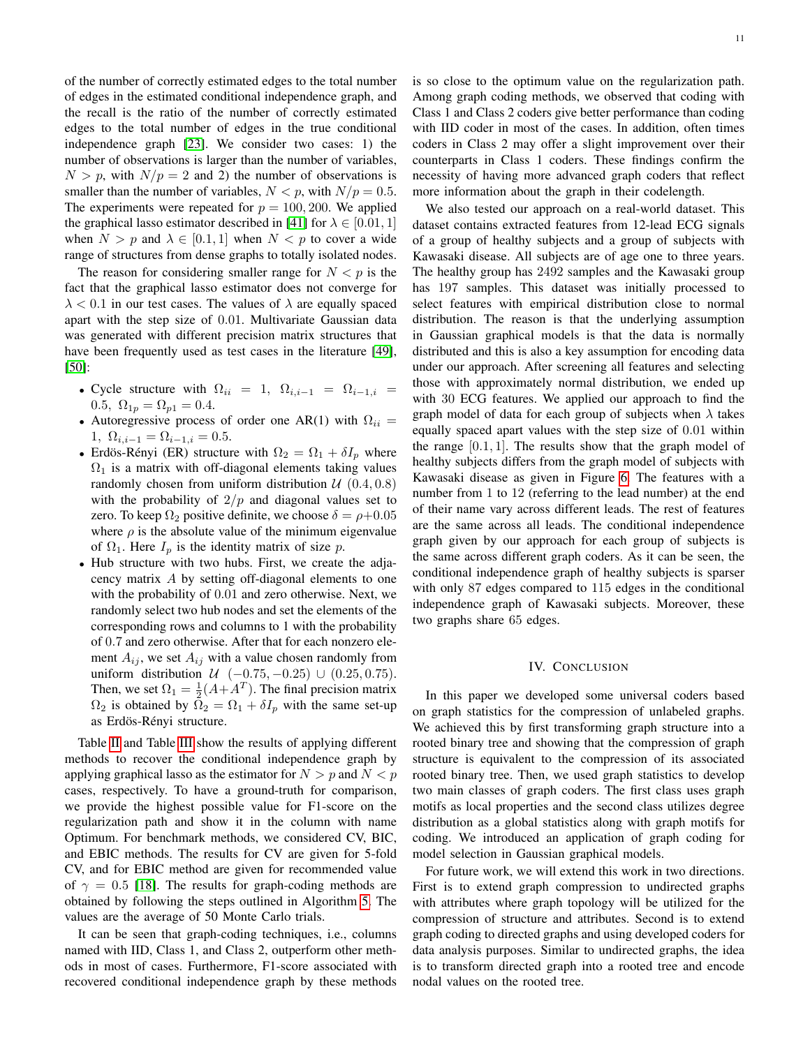of the number of correctly estimated edges to the total number of edges in the estimated conditional independence graph, and the recall is the ratio of the number of correctly estimated edges to the total number of edges in the true conditional independence graph [\[23\]](#page-12-17). We consider two cases: 1) the number of observations is larger than the number of variables,  $N > p$ , with  $N/p = 2$  and 2) the number of observations is smaller than the number of variables,  $N < p$ , with  $N/p = 0.5$ . The experiments were repeated for  $p = 100, 200$ . We applied the graphical lasso estimator described in [\[41\]](#page-12-35) for  $\lambda \in [0.01, 1]$ when  $N > p$  and  $\lambda \in [0.1, 1]$  when  $N < p$  to cover a wide range of structures from dense graphs to totally isolated nodes.

The reason for considering smaller range for  $N < p$  is the fact that the graphical lasso estimator does not converge for  $\lambda$  < 0.1 in our test cases. The values of  $\lambda$  are equally spaced apart with the step size of 0.01. Multivariate Gaussian data was generated with different precision matrix structures that have been frequently used as test cases in the literature [\[49\]](#page-12-43), [\[50\]](#page-12-44):

- Cycle structure with  $\Omega_{ii} = 1$ ,  $\Omega_{i,i-1} = \Omega_{i-1,i} =$ 0.5,  $\Omega_{1p} = \Omega_{p1} = 0.4$ .
- Autoregressive process of order one AR(1) with  $\Omega_{ii} =$ 1,  $\Omega_{i,i-1} = \Omega_{i-1,i} = 0.5.$
- Erdös-Rényi (ER) structure with  $\Omega_2 = \Omega_1 + \delta I_p$  where  $\Omega_1$  is a matrix with off-diagonal elements taking values randomly chosen from uniform distribution  $U(0.4, 0.8)$ with the probability of  $2/p$  and diagonal values set to zero. To keep  $\Omega_2$  positive definite, we choose  $\delta = \rho + 0.05$ where  $\rho$  is the absolute value of the minimum eigenvalue of  $\Omega_1$ . Here  $I_p$  is the identity matrix of size p.
- Hub structure with two hubs. First, we create the adjacency matrix A by setting off-diagonal elements to one with the probability of 0.01 and zero otherwise. Next, we randomly select two hub nodes and set the elements of the corresponding rows and columns to 1 with the probability of 0.7 and zero otherwise. After that for each nonzero element  $A_{ij}$ , we set  $A_{ij}$  with a value chosen randomly from uniform distribution  $U$  (−0.75, −0.25) ∪ (0.25, 0.75). Then, we set  $\Omega_1 = \frac{1}{2}(A + A^T)$ . The final precision matrix  $\Omega_2$  is obtained by  $\Omega_2 = \Omega_1 + \delta I_p$  with the same set-up as Erdös-Rényi structure.

Table [II](#page-11-5) and Table [III](#page-11-6) show the results of applying different methods to recover the conditional independence graph by applying graphical lasso as the estimator for  $N > p$  and  $N < p$ cases, respectively. To have a ground-truth for comparison, we provide the highest possible value for F1-score on the regularization path and show it in the column with name Optimum. For benchmark methods, we considered CV, BIC, and EBIC methods. The results for CV are given for 5-fold CV, and for EBIC method are given for recommended value of  $\gamma = 0.5$  [\[18\]](#page-12-12). The results for graph-coding methods are obtained by following the steps outlined in Algorithm [5.](#page-9-2) The values are the average of 50 Monte Carlo trials.

It can be seen that graph-coding techniques, i.e., columns named with IID, Class 1, and Class 2, outperform other methods in most of cases. Furthermore, F1-score associated with recovered conditional independence graph by these methods is so close to the optimum value on the regularization path. Among graph coding methods, we observed that coding with Class 1 and Class 2 coders give better performance than coding with IID coder in most of the cases. In addition, often times coders in Class 2 may offer a slight improvement over their counterparts in Class 1 coders. These findings confirm the necessity of having more advanced graph coders that reflect more information about the graph in their codelength.

We also tested our approach on a real-world dataset. This dataset contains extracted features from 12-lead ECG signals of a group of healthy subjects and a group of subjects with Kawasaki disease. All subjects are of age one to three years. The healthy group has 2492 samples and the Kawasaki group has 197 samples. This dataset was initially processed to select features with empirical distribution close to normal distribution. The reason is that the underlying assumption in Gaussian graphical models is that the data is normally distributed and this is also a key assumption for encoding data under our approach. After screening all features and selecting those with approximately normal distribution, we ended up with 30 ECG features. We applied our approach to find the graph model of data for each group of subjects when  $\lambda$  takes equally spaced apart values with the step size of 0.01 within the range  $[0.1, 1]$ . The results show that the graph model of healthy subjects differs from the graph model of subjects with Kawasaki disease as given in Figure [6.](#page-11-7) The features with a number from 1 to 12 (referring to the lead number) at the end of their name vary across different leads. The rest of features are the same across all leads. The conditional independence graph given by our approach for each group of subjects is the same across different graph coders. As it can be seen, the conditional independence graph of healthy subjects is sparser with only 87 edges compared to 115 edges in the conditional independence graph of Kawasaki subjects. Moreover, these two graphs share 65 edges.

## IV. CONCLUSION

<span id="page-10-0"></span>In this paper we developed some universal coders based on graph statistics for the compression of unlabeled graphs. We achieved this by first transforming graph structure into a rooted binary tree and showing that the compression of graph structure is equivalent to the compression of its associated rooted binary tree. Then, we used graph statistics to develop two main classes of graph coders. The first class uses graph motifs as local properties and the second class utilizes degree distribution as a global statistics along with graph motifs for coding. We introduced an application of graph coding for model selection in Gaussian graphical models.

For future work, we will extend this work in two directions. First is to extend graph compression to undirected graphs with attributes where graph topology will be utilized for the compression of structure and attributes. Second is to extend graph coding to directed graphs and using developed coders for data analysis purposes. Similar to undirected graphs, the idea is to transform directed graph into a rooted tree and encode nodal values on the rooted tree.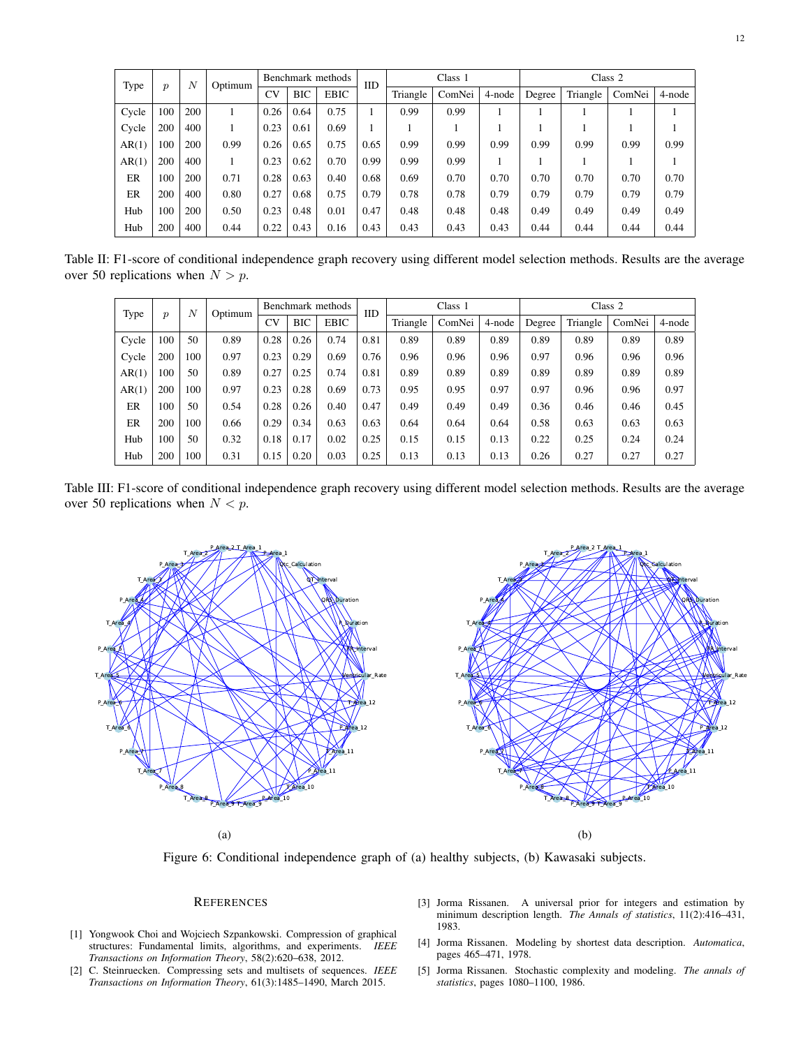<span id="page-11-5"></span>

| Type  | $\boldsymbol{p}$ | $\overline{N}$ | Optimum | Benchmark methods |            |             | <b>IID</b> | Class 1  |        |        | Class 2 |          |        |        |
|-------|------------------|----------------|---------|-------------------|------------|-------------|------------|----------|--------|--------|---------|----------|--------|--------|
|       |                  |                |         | CV                | <b>BIC</b> | <b>EBIC</b> |            | Triangle | ComNei | 4-node | Degree  | Triangle | ComNei | 4-node |
| Cycle | 100              | 200            |         | 0.26              | 0.64       | 0.75        |            | 0.99     | 0.99   |        |         |          |        |        |
| Cycle | 200              | 400            |         | 0.23              | 0.61       | 0.69        |            |          |        |        |         |          |        |        |
| AR(1) | 100              | 200            | 0.99    | 0.26              | 0.65       | 0.75        | 0.65       | 0.99     | 0.99   | 0.99   | 0.99    | 0.99     | 0.99   | 0.99   |
| AR(1) | 200              | 400            |         | 0.23              | 0.62       | 0.70        | 0.99       | 0.99     | 0.99   |        |         |          |        |        |
| ER    | 100              | 200            | 0.71    | 0.28              | 0.63       | 0.40        | 0.68       | 0.69     | 0.70   | 0.70   | 0.70    | 0.70     | 0.70   | 0.70   |
| ER    | 200              | 400            | 0.80    | 0.27              | 0.68       | 0.75        | 0.79       | 0.78     | 0.78   | 0.79   | 0.79    | 0.79     | 0.79   | 0.79   |
| Hub   | 100              | 200            | 0.50    | 0.23              | 0.48       | 0.01        | 0.47       | 0.48     | 0.48   | 0.48   | 0.49    | 0.49     | 0.49   | 0.49   |
| Hub   | 200              | 400            | 0.44    | 0.22              | 0.43       | 0.16        | 0.43       | 0.43     | 0.43   | 0.43   | 0.44    | 0.44     | 0.44   | 0.44   |

<span id="page-11-6"></span>Table II: F1-score of conditional independence graph recovery using different model selection methods. Results are the average over 50 replications when  $N > p$ .

| Type  | $\boldsymbol{p}$ | $\boldsymbol{N}$ | Optimum | Benchmark methods |            |             | <b>IID</b> | Class 1  |        |        | Class 2 |          |        |        |
|-------|------------------|------------------|---------|-------------------|------------|-------------|------------|----------|--------|--------|---------|----------|--------|--------|
|       |                  |                  |         | CV                | <b>BIC</b> | <b>EBIC</b> |            | Triangle | ComNei | 4-node | Degree  | Triangle | ComNei | 4-node |
| Cycle | 100              | 50               | 0.89    | 0.28              | 0.26       | 0.74        | 0.81       | 0.89     | 0.89   | 0.89   | 0.89    | 0.89     | 0.89   | 0.89   |
| Cycle | 200              | 100              | 0.97    | 0.23              | 0.29       | 0.69        | 0.76       | 0.96     | 0.96   | 0.96   | 0.97    | 0.96     | 0.96   | 0.96   |
| AR(1) | 100              | 50               | 0.89    | 0.27              | 0.25       | 0.74        | 0.81       | 0.89     | 0.89   | 0.89   | 0.89    | 0.89     | 0.89   | 0.89   |
| AR(1) | 200              | 100              | 0.97    | 0.23              | 0.28       | 0.69        | 0.73       | 0.95     | 0.95   | 0.97   | 0.97    | 0.96     | 0.96   | 0.97   |
| ER    | 100              | 50               | 0.54    | 0.28              | 0.26       | 0.40        | 0.47       | 0.49     | 0.49   | 0.49   | 0.36    | 0.46     | 0.46   | 0.45   |
| ER    | 200              | 100              | 0.66    | 0.29              | 0.34       | 0.63        | 0.63       | 0.64     | 0.64   | 0.64   | 0.58    | 0.63     | 0.63   | 0.63   |
| Hub   | 100              | 50               | 0.32    | 0.18              | 0.17       | 0.02        | 0.25       | 0.15     | 0.15   | 0.13   | 0.22    | 0.25     | 0.24   | 0.24   |
| Hub   | 200              | 100              | 0.31    | 0.15              | 0.20       | 0.03        | 0.25       | 0.13     | 0.13   | 0.13   | 0.26    | 0.27     | 0.27   | 0.27   |

Table III: F1-score of conditional independence graph recovery using different model selection methods. Results are the average over 50 replications when  $N < p$ .

<span id="page-11-7"></span>

Figure 6: Conditional independence graph of (a) healthy subjects, (b) Kawasaki subjects.

# **REFERENCES**

- <span id="page-11-0"></span>[1] Yongwook Choi and Wojciech Szpankowski. Compression of graphical structures: Fundamental limits, algorithms, and experiments. *IEEE Transactions on Information Theory*, 58(2):620–638, 2012.
- <span id="page-11-1"></span>[2] C. Steinruecken. Compressing sets and multisets of sequences. *IEEE Transactions on Information Theory*, 61(3):1485–1490, March 2015.
- <span id="page-11-2"></span>[3] Jorma Rissanen. A universal prior for integers and estimation by minimum description length. *The Annals of statistics*, 11(2):416–431, 1983.
- <span id="page-11-3"></span>[4] Jorma Rissanen. Modeling by shortest data description. *Automatica*, pages 465–471, 1978.
- <span id="page-11-4"></span>[5] Jorma Rissanen. Stochastic complexity and modeling. *The annals of statistics*, pages 1080–1100, 1986.